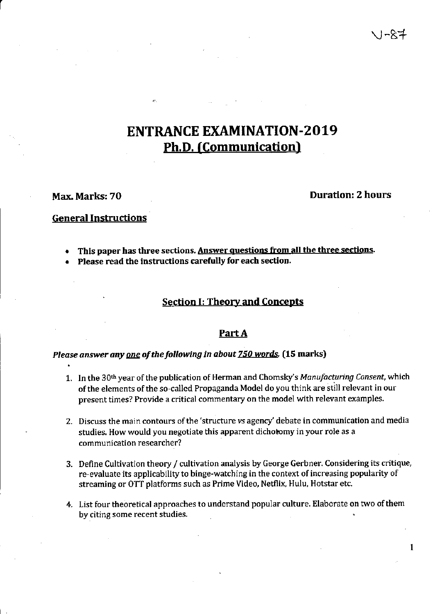# Ph.D. (Communication) ENTRANCE EXAMINATION-2019

#### Max. Marks: 70

### Duration: 2 hours

#### General Instructions

- . This paper has three sections, Answer ouestions from all the three sections.
- . Please read the instructions carefully for each section'

#### Section I: Theory and Concepts

#### Part A

#### Please answer any one of the following in about 750 words. (15 marks)

- 1. In the 30<sup>th</sup> year of the publication of Herman and Chomsky's Manufacturing Consent, which ofthe elements ofthe so-called Propaganda Model do you think are still relevant in our present times? Provide a critical commentary on the model with relevant examples.
- 2. Discuss the main contours of the 'structure vs agency' debate in communication and media studies. How would you negotiate this apparent dichotomy in your role as a communication researcher?
- 3. Define Cultivation theory / cultivation analysis by George Gerbner. Considering its critique, re-evaluate its applicability to binge-watching in the context of increasing popularity of streaming or OTT platforms such as Prime Video, Netflix, Hulu, Hotstar etc.
- 4. List four theoretical approaches to understand popular culture. Elaborate on two of them by citing some recent studies.

 $\mathbf{1}$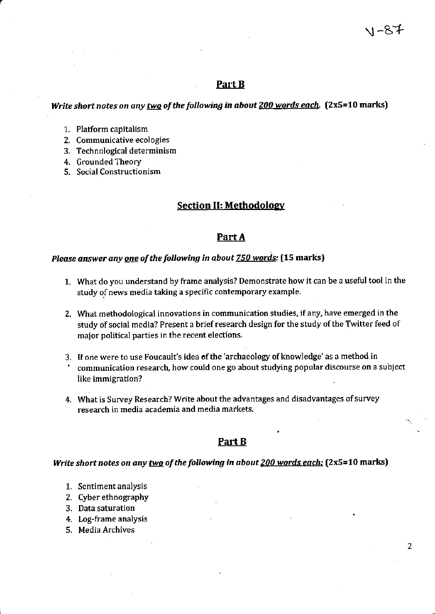#### Part B

#### Write short notes on any two of the following in about 200 words each. (2x5=10 marks)

- 1. Platform capitalism
- 2. Communicative ecologies
- 3. Technological determinism
- 4. Grounded Theory
- 5. Social Constructionism

#### **Section II: Methodology**

#### Part A

### Please answer any one of the following in about 750 words: (15 marks)

- 1. What do you understand by frame analysis? Demonstrate how it can be a useful tool in the study of news media taking a specific contemporary example.
- 2. What methodological innovations in communication studies, if any, have emerged in the study of social media? Present a brief research design for the study of the Twitter feed of major political parties in the recent elections.
- 3. If one were to use Foucault's idea of the 'archaeology of knowledge' as a method in
- communication research, how could one go about studying popular discourse on a subject like immigration?
- 4. What is Survey Research? Write about the advantages and disadvantages of survey research in media academia and media markets.

#### Part B

#### Write short notes on any two of the following in about 200 words each: (2x5=10 marks)

- 1. Sentiment analysis
- 2. Cyber ethnography
- 3. Data saturation
- 4. Log-frame analysis
- 5. Media Archives

ハードナ